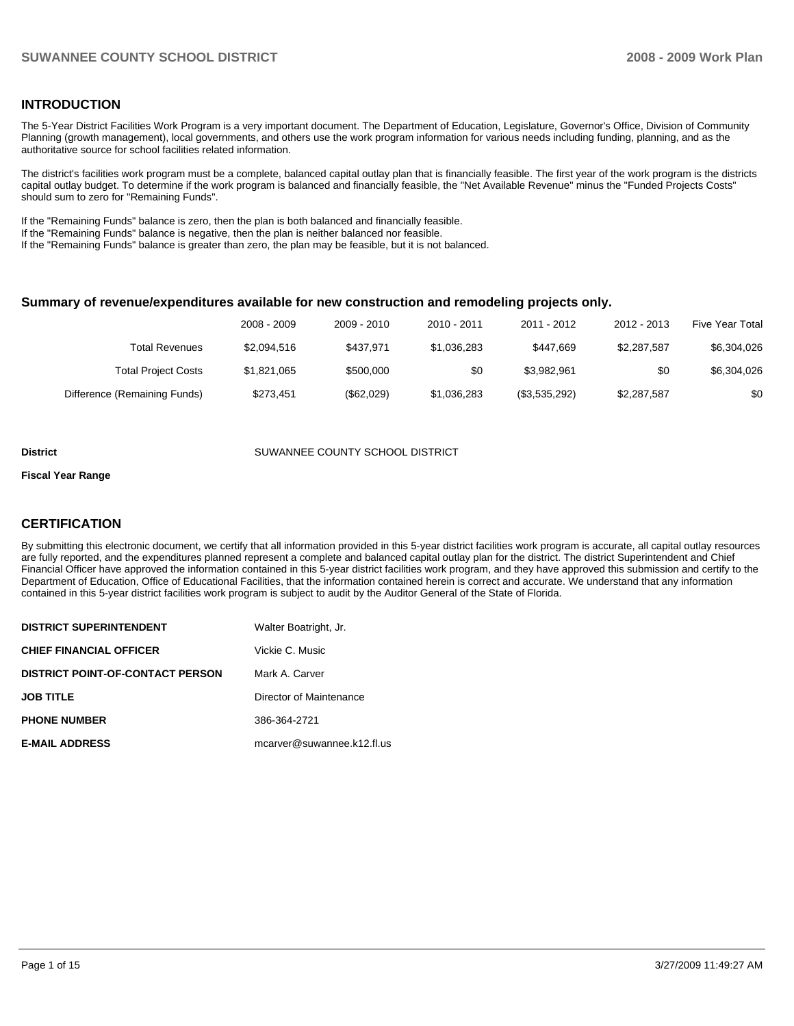# **INTRODUCTION**

The 5-Year District Facilities Work Program is a very important document. The Department of Education, Legislature, Governor's Office, Division of Community Planning (growth management), local governments, and others use the work program information for various needs including funding, planning, and as the authoritative source for school facilities related information.

The district's facilities work program must be a complete, balanced capital outlay plan that is financially feasible. The first year of the work program is the districts capital outlay budget. To determine if the work program is balanced and financially feasible, the "Net Available Revenue" minus the "Funded Projects Costs" should sum to zero for "Remaining Funds".

If the "Remaining Funds" balance is zero, then the plan is both balanced and financially feasible.

If the "Remaining Funds" balance is negative, then the plan is neither balanced nor feasible.

If the "Remaining Funds" balance is greater than zero, the plan may be feasible, but it is not balanced.

### **Summary of revenue/expenditures available for new construction and remodeling projects only.**

| <b>Five Year Total</b> | $2012 - 2013$ | 2011 - 2012   | $2010 - 2011$ | 2009 - 2010 | 2008 - 2009 |                              |
|------------------------|---------------|---------------|---------------|-------------|-------------|------------------------------|
| \$6,304,026            | \$2,287,587   | \$447.669     | \$1,036,283   | \$437.971   | \$2,094,516 | <b>Total Revenues</b>        |
| \$6,304,026            | \$0           | \$3.982.961   | \$0           | \$500,000   | \$1,821,065 | <b>Total Project Costs</b>   |
| \$0                    | \$2,287,587   | (\$3,535,292) | \$1,036,283   | (\$62,029)  | \$273.451   | Difference (Remaining Funds) |

#### **District** SUWANNEE COUNTY SCHOOL DISTRICT

# **Fiscal Year Range**

# **CERTIFICATION**

By submitting this electronic document, we certify that all information provided in this 5-year district facilities work program is accurate, all capital outlay resources are fully reported, and the expenditures planned represent a complete and balanced capital outlay plan for the district. The district Superintendent and Chief Financial Officer have approved the information contained in this 5-year district facilities work program, and they have approved this submission and certify to the Department of Education, Office of Educational Facilities, that the information contained herein is correct and accurate. We understand that any information contained in this 5-year district facilities work program is subject to audit by the Auditor General of the State of Florida.

| <b>DISTRICT SUPERINTENDENT</b>          | Walter Boatright, Jr.      |
|-----------------------------------------|----------------------------|
| <b>CHIEF FINANCIAL OFFICER</b>          | Vickie C. Music            |
| <b>DISTRICT POINT-OF-CONTACT PERSON</b> | Mark A. Carver             |
| <b>JOB TITLE</b>                        | Director of Maintenance    |
| <b>PHONE NUMBER</b>                     | 386-364-2721               |
| <b>E-MAIL ADDRESS</b>                   | mcarver@suwannee.k12.fl.us |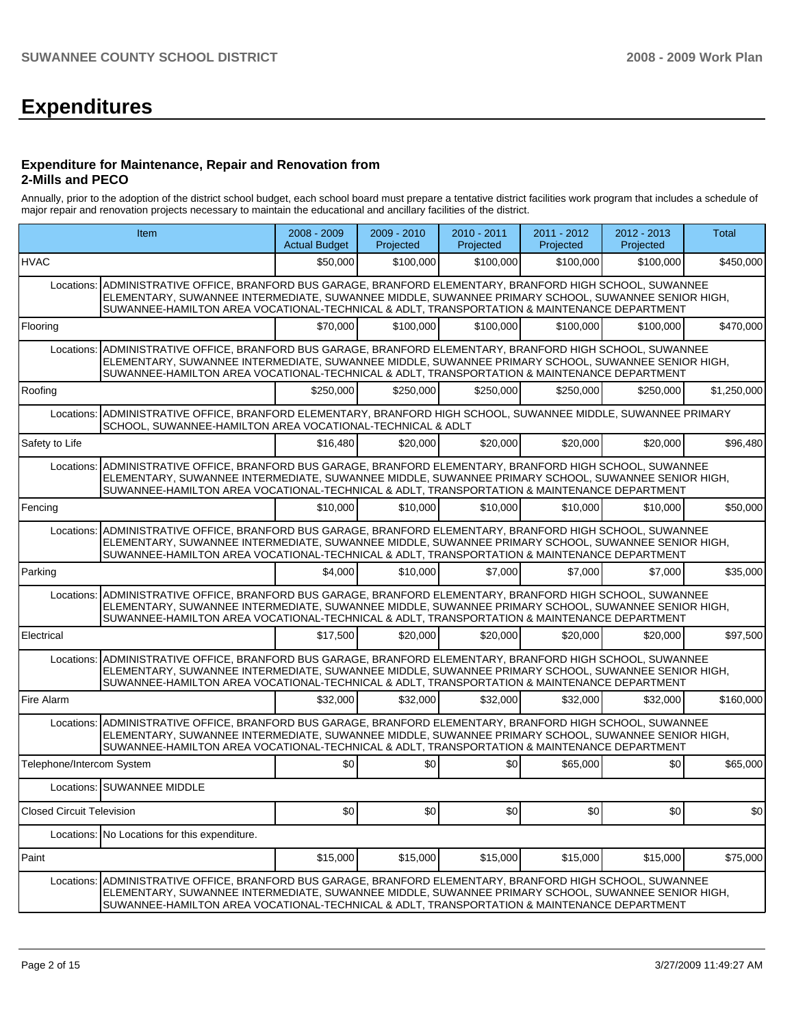# **Expenditures**

### **Expenditure for Maintenance, Repair and Renovation from 2-Mills and PECO**

Annually, prior to the adoption of the district school budget, each school board must prepare a tentative district facilities work program that includes a schedule of major repair and renovation projects necessary to maintain the educational and ancillary facilities of the district.

| <b>Item</b>                      |                                                                                                                                                                                                                                                                                                                 | $2008 - 2009$<br><b>Actual Budget</b> | 2009 - 2010<br>Projected | 2010 - 2011<br>Projected | 2011 - 2012<br>Projected | $2012 - 2013$<br>Projected | <b>Total</b> |
|----------------------------------|-----------------------------------------------------------------------------------------------------------------------------------------------------------------------------------------------------------------------------------------------------------------------------------------------------------------|---------------------------------------|--------------------------|--------------------------|--------------------------|----------------------------|--------------|
| <b>HVAC</b>                      |                                                                                                                                                                                                                                                                                                                 | \$50.000                              | \$100,000                | \$100,000                | \$100,000                | \$100,000                  | \$450,000    |
| Locations:                       | ADMINISTRATIVE OFFICE, BRANFORD BUS GARAGE, BRANFORD ELEMENTARY, BRANFORD HIGH SCHOOL, SUWANNEE<br>ELEMENTARY, SUWANNEE INTERMEDIATE, SUWANNEE MIDDLE, SUWANNEE PRIMARY SCHOOL, SUWANNEE SENIOR HIGH,<br>SUWANNEE-HAMILTON AREA VOCATIONAL-TECHNICAL & ADLT, TRANSPORTATION & MAINTENANCE DEPARTMENT            |                                       |                          |                          |                          |                            |              |
| Flooring                         |                                                                                                                                                                                                                                                                                                                 | \$70,000                              | \$100,000                | \$100.000                | \$100.000                | \$100,000                  | \$470,000    |
|                                  | Locations: ADMINISTRATIVE OFFICE, BRANFORD BUS GARAGE, BRANFORD ELEMENTARY, BRANFORD HIGH SCHOOL, SUWANNEE<br>ELEMENTARY, SUWANNEE INTERMEDIATE, SUWANNEE MIDDLE, SUWANNEE PRIMARY SCHOOL, SUWANNEE SENIOR HIGH,<br>SUWANNEE-HAMILTON AREA VOCATIONAL-TECHNICAL & ADLT, TRANSPORTATION & MAINTENANCE DEPARTMENT |                                       |                          |                          |                          |                            |              |
| Roofing                          |                                                                                                                                                                                                                                                                                                                 | \$250,000                             | \$250.000                | \$250,000                | \$250,000                | \$250,000                  | \$1,250,000  |
| Locations:                       | ADMINISTRATIVE OFFICE, BRANFORD ELEMENTARY, BRANFORD HIGH SCHOOL, SUWANNEE MIDDLE, SUWANNEE PRIMARY<br>SCHOOL, SUWANNEE-HAMILTON AREA VOCATIONAL-TECHNICAL & ADLT                                                                                                                                               |                                       |                          |                          |                          |                            |              |
| Safety to Life                   |                                                                                                                                                                                                                                                                                                                 | \$16,480                              | \$20,000                 | \$20,000                 | \$20,000                 | \$20,000                   | \$96,480     |
|                                  | Locations: ADMINISTRATIVE OFFICE, BRANFORD BUS GARAGE, BRANFORD ELEMENTARY, BRANFORD HIGH SCHOOL, SUWANNEE<br>ELEMENTARY, SUWANNEE INTERMEDIATE, SUWANNEE MIDDLE, SUWANNEE PRIMARY SCHOOL, SUWANNEE SENIOR HIGH,<br>SUWANNEE-HAMILTON AREA VOCATIONAL-TECHNICAL & ADLT, TRANSPORTATION & MAINTENANCE DEPARTMENT |                                       |                          |                          |                          |                            |              |
| Fencing                          |                                                                                                                                                                                                                                                                                                                 | \$10,000                              | \$10,000                 | \$10,000                 | \$10,000                 | \$10,000                   | \$50,000     |
|                                  | Locations: ADMINISTRATIVE OFFICE, BRANFORD BUS GARAGE, BRANFORD ELEMENTARY, BRANFORD HIGH SCHOOL, SUWANNEE<br>ELEMENTARY, SUWANNEE INTERMEDIATE, SUWANNEE MIDDLE, SUWANNEE PRIMARY SCHOOL, SUWANNEE SENIOR HIGH,<br>SUWANNEE-HAMILTON AREA VOCATIONAL-TECHNICAL & ADLT, TRANSPORTATION & MAINTENANCE DEPARTMENT |                                       |                          |                          |                          |                            |              |
| Parking                          |                                                                                                                                                                                                                                                                                                                 | \$4.000                               | \$10,000                 | \$7.000                  | \$7,000                  | \$7,000                    | \$35,000     |
|                                  | Locations: ADMINISTRATIVE OFFICE, BRANFORD BUS GARAGE, BRANFORD ELEMENTARY, BRANFORD HIGH SCHOOL, SUWANNEE<br>ELEMENTARY, SUWANNEE INTERMEDIATE, SUWANNEE MIDDLE, SUWANNEE PRIMARY SCHOOL, SUWANNEE SENIOR HIGH,<br>SUWANNEE-HAMILTON AREA VOCATIONAL-TECHNICAL & ADLT, TRANSPORTATION & MAINTENANCE DEPARTMENT |                                       |                          |                          |                          |                            |              |
| Electrical                       |                                                                                                                                                                                                                                                                                                                 | \$17.500                              | \$20,000                 | \$20,000                 | \$20,000                 | \$20,000                   | \$97,500     |
| Locations:                       | ADMINISTRATIVE OFFICE, BRANFORD BUS GARAGE, BRANFORD ELEMENTARY, BRANFORD HIGH SCHOOL, SUWANNEE<br>ELEMENTARY, SUWANNEE INTERMEDIATE, SUWANNEE MIDDLE, SUWANNEE PRIMARY SCHOOL, SUWANNEE SENIOR HIGH,<br>SUWANNEE-HAMILTON AREA VOCATIONAL-TECHNICAL & ADLT, TRANSPORTATION & MAINTENANCE DEPARTMENT            |                                       |                          |                          |                          |                            |              |
| Fire Alarm                       |                                                                                                                                                                                                                                                                                                                 | \$32,000                              | \$32,000                 | \$32,000                 | \$32,000                 | \$32,000                   | \$160,000    |
|                                  | Locations: ADMINISTRATIVE OFFICE, BRANFORD BUS GARAGE, BRANFORD ELEMENTARY, BRANFORD HIGH SCHOOL, SUWANNEE<br>ELEMENTARY, SUWANNEE INTERMEDIATE, SUWANNEE MIDDLE, SUWANNEE PRIMARY SCHOOL, SUWANNEE SENIOR HIGH,<br>SUWANNEE-HAMILTON AREA VOCATIONAL-TECHNICAL & ADLT, TRANSPORTATION & MAINTENANCE DEPARTMENT |                                       |                          |                          |                          |                            |              |
| Telephone/Intercom System        |                                                                                                                                                                                                                                                                                                                 | \$0                                   | \$0                      | \$0                      | \$65,000                 | \$0                        | \$65,000     |
|                                  | Locations: SUWANNEE MIDDLE                                                                                                                                                                                                                                                                                      |                                       |                          |                          |                          |                            |              |
| <b>Closed Circuit Television</b> |                                                                                                                                                                                                                                                                                                                 | \$0                                   | \$0                      | \$0                      | \$0                      | \$0                        | \$0          |
|                                  | Locations: No Locations for this expenditure.                                                                                                                                                                                                                                                                   |                                       |                          |                          |                          |                            |              |
| Paint                            |                                                                                                                                                                                                                                                                                                                 | \$15,000                              | \$15,000                 | \$15,000                 | \$15,000                 | \$15,000                   | \$75,000     |
| Locations:                       | ADMINISTRATIVE OFFICE, BRANFORD BUS GARAGE, BRANFORD ELEMENTARY, BRANFORD HIGH SCHOOL, SUWANNEE<br>ELEMENTARY, SUWANNEE INTERMEDIATE, SUWANNEE MIDDLE, SUWANNEE PRIMARY SCHOOL, SUWANNEE SENIOR HIGH,<br>SUWANNEE-HAMILTON AREA VOCATIONAL-TECHNICAL & ADLT. TRANSPORTATION & MAINTENANCE DEPARTMENT            |                                       |                          |                          |                          |                            |              |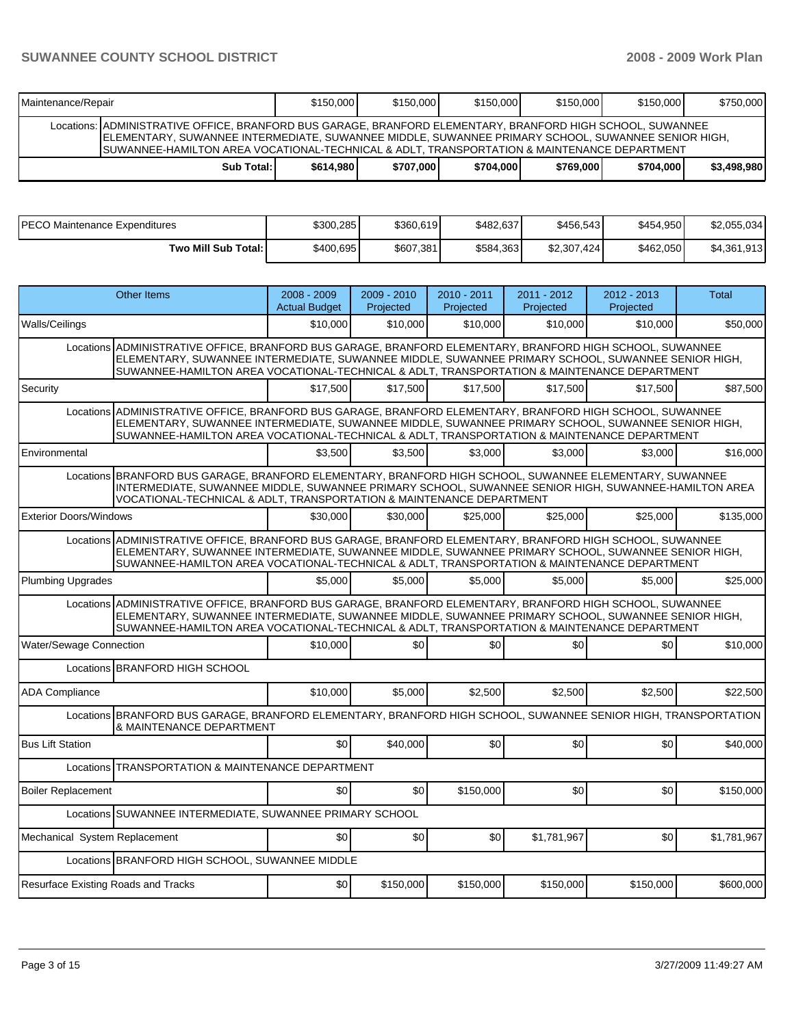| Maintenance/Repair                                                                                                                                                                                                                                                                                                 | \$150,000 | \$150,000 | \$150,000 | \$150,000 | \$150,000 | \$750,000   |  |  |  |
|--------------------------------------------------------------------------------------------------------------------------------------------------------------------------------------------------------------------------------------------------------------------------------------------------------------------|-----------|-----------|-----------|-----------|-----------|-------------|--|--|--|
| Locations:   ADMINISTRATIVE OFFICE, BRANFORD BUS GARAGE, BRANFORD ELEMENTARY, BRANFORD HIGH SCHOOL, SUWANNEE<br>ELEMENTARY, SUWANNEE INTERMEDIATE, SUWANNEE MIDDLE, SUWANNEE PRIMARY SCHOOL, SUWANNEE SENIOR HIGH,<br>ISUWANNEE-HAMILTON AREA VOCATIONAL-TECHNICAL & ADLT. TRANSPORTATION & MAINTENANCE DEPARTMENT |           |           |           |           |           |             |  |  |  |
| Sub Total:                                                                                                                                                                                                                                                                                                         | \$614,980 | \$707.000 | \$704.000 | \$769,000 | \$704,000 | \$3,498,980 |  |  |  |

| PECO Maintenance Expenditures | \$300,285 | \$360,619 | \$482,637 | \$456,543   | \$454,950 | \$2,055,034 |
|-------------------------------|-----------|-----------|-----------|-------------|-----------|-------------|
| Two Mill Sub Total:           | \$400,695 | \$607,381 | \$584,363 | \$2,307,424 | \$462,050 | \$4,361,913 |

|                                                                                                                                                                                                                                                                                                                | <b>Other Items</b>                                                                                                                                                                                                                                                                                             | $2008 - 2009$<br><b>Actual Budget</b> | $2009 - 2010$<br>Projected | 2010 - 2011<br>Projected | $2011 - 2012$<br>Projected | 2012 - 2013<br>Projected | Total       |  |  |
|----------------------------------------------------------------------------------------------------------------------------------------------------------------------------------------------------------------------------------------------------------------------------------------------------------------|----------------------------------------------------------------------------------------------------------------------------------------------------------------------------------------------------------------------------------------------------------------------------------------------------------------|---------------------------------------|----------------------------|--------------------------|----------------------------|--------------------------|-------------|--|--|
| Walls/Ceilings                                                                                                                                                                                                                                                                                                 |                                                                                                                                                                                                                                                                                                                | \$10,000                              | \$10,000                   | \$10,000                 | \$10,000                   | \$10,000                 | \$50,000    |  |  |
|                                                                                                                                                                                                                                                                                                                | Locations ADMINISTRATIVE OFFICE, BRANFORD BUS GARAGE, BRANFORD ELEMENTARY, BRANFORD HIGH SCHOOL, SUWANNEE<br>ELEMENTARY, SUWANNEE INTERMEDIATE, SUWANNEE MIDDLE, SUWANNEE PRIMARY SCHOOL, SUWANNEE SENIOR HIGH,<br>SUWANNEE-HAMILTON AREA VOCATIONAL-TECHNICAL & ADLT, TRANSPORTATION & MAINTENANCE DEPARTMENT |                                       |                            |                          |                            |                          |             |  |  |
| Security                                                                                                                                                                                                                                                                                                       |                                                                                                                                                                                                                                                                                                                | \$17.500                              | \$17.500                   | \$17.500                 | \$17.500                   | \$17.500                 | \$87.500    |  |  |
|                                                                                                                                                                                                                                                                                                                | Locations ADMINISTRATIVE OFFICE, BRANFORD BUS GARAGE, BRANFORD ELEMENTARY, BRANFORD HIGH SCHOOL, SUWANNEE<br>ELEMENTARY, SUWANNEE INTERMEDIATE, SUWANNEE MIDDLE, SUWANNEE PRIMARY SCHOOL, SUWANNEE SENIOR HIGH,<br>SUWANNEE-HAMILTON AREA VOCATIONAL-TECHNICAL & ADLT, TRANSPORTATION & MAINTENANCE DEPARTMENT |                                       |                            |                          |                            |                          |             |  |  |
| Environmental                                                                                                                                                                                                                                                                                                  |                                                                                                                                                                                                                                                                                                                | \$3.500                               | \$3.500                    | \$3,000                  | \$3,000                    | \$3.000                  | \$16,000    |  |  |
|                                                                                                                                                                                                                                                                                                                | Locations BRANFORD BUS GARAGE, BRANFORD ELEMENTARY, BRANFORD HIGH SCHOOL, SUWANNEE ELEMENTARY, SUWANNEE<br>INTERMEDIATE, SUWANNEE MIDDLE, SUWANNEE PRIMARY SCHOOL, SUWANNEE SENIOR HIGH, SUWANNEE-HAMILTON AREA<br>VOCATIONAL-TECHNICAL & ADLT, TRANSPORTATION & MAINTENANCE DEPARTMENT                        |                                       |                            |                          |                            |                          |             |  |  |
| <b>Exterior Doors/Windows</b>                                                                                                                                                                                                                                                                                  |                                                                                                                                                                                                                                                                                                                | \$30,000                              | \$30,000                   | \$25,000                 | \$25,000                   | \$25,000                 | \$135,000   |  |  |
| Locations ADMINISTRATIVE OFFICE, BRANFORD BUS GARAGE, BRANFORD ELEMENTARY, BRANFORD HIGH SCHOOL, SUWANNEE<br>ELEMENTARY, SUWANNEE INTERMEDIATE, SUWANNEE MIDDLE, SUWANNEE PRIMARY SCHOOL, SUWANNEE SENIOR HIGH,<br>SUWANNEE-HAMILTON AREA VOCATIONAL-TECHNICAL & ADLT, TRANSPORTATION & MAINTENANCE DEPARTMENT |                                                                                                                                                                                                                                                                                                                |                                       |                            |                          |                            |                          |             |  |  |
| <b>Plumbing Upgrades</b>                                                                                                                                                                                                                                                                                       |                                                                                                                                                                                                                                                                                                                | \$5,000                               | \$5,000                    | \$5,000                  | \$5,000                    | \$5,000                  | \$25,000    |  |  |
|                                                                                                                                                                                                                                                                                                                | Locations ADMINISTRATIVE OFFICE, BRANFORD BUS GARAGE, BRANFORD ELEMENTARY, BRANFORD HIGH SCHOOL, SUWANNEE<br>ELEMENTARY, SUWANNEE INTERMEDIATE, SUWANNEE MIDDLE, SUWANNEE PRIMARY SCHOOL, SUWANNEE SENIOR HIGH,<br>SUWANNEE-HAMILTON AREA VOCATIONAL-TECHNICAL & ADLT, TRANSPORTATION & MAINTENANCE DEPARTMENT |                                       |                            |                          |                            |                          |             |  |  |
| Water/Sewage Connection                                                                                                                                                                                                                                                                                        |                                                                                                                                                                                                                                                                                                                | \$10,000                              | \$0                        | \$0                      | \$0                        | \$0                      | \$10,000    |  |  |
|                                                                                                                                                                                                                                                                                                                | Locations BRANFORD HIGH SCHOOL                                                                                                                                                                                                                                                                                 |                                       |                            |                          |                            |                          |             |  |  |
| <b>ADA Compliance</b>                                                                                                                                                                                                                                                                                          |                                                                                                                                                                                                                                                                                                                | \$10,000                              | \$5,000                    | \$2,500                  | \$2,500                    | \$2,500                  | \$22,500    |  |  |
|                                                                                                                                                                                                                                                                                                                | Locations BRANFORD BUS GARAGE, BRANFORD ELEMENTARY, BRANFORD HIGH SCHOOL, SUWANNEE SENIOR HIGH, TRANSPORTATION<br>& MAINTENANCE DEPARTMENT                                                                                                                                                                     |                                       |                            |                          |                            |                          |             |  |  |
| <b>Bus Lift Station</b>                                                                                                                                                                                                                                                                                        |                                                                                                                                                                                                                                                                                                                | \$0                                   | \$40,000                   | \$0                      | \$0                        | \$0                      | \$40,000    |  |  |
|                                                                                                                                                                                                                                                                                                                | Locations TRANSPORTATION & MAINTENANCE DEPARTMENT                                                                                                                                                                                                                                                              |                                       |                            |                          |                            |                          |             |  |  |
| <b>Boiler Replacement</b>                                                                                                                                                                                                                                                                                      |                                                                                                                                                                                                                                                                                                                | \$0                                   | \$0                        | \$150,000                | \$0                        | \$0                      | \$150,000   |  |  |
|                                                                                                                                                                                                                                                                                                                | Locations SUWANNEE INTERMEDIATE, SUWANNEE PRIMARY SCHOOL                                                                                                                                                                                                                                                       |                                       |                            |                          |                            |                          |             |  |  |
| Mechanical System Replacement                                                                                                                                                                                                                                                                                  |                                                                                                                                                                                                                                                                                                                | \$0                                   | \$0                        | \$0                      | \$1,781,967                | \$0                      | \$1,781,967 |  |  |
|                                                                                                                                                                                                                                                                                                                | Locations BRANFORD HIGH SCHOOL, SUWANNEE MIDDLE                                                                                                                                                                                                                                                                |                                       |                            |                          |                            |                          |             |  |  |
| Resurface Existing Roads and Tracks                                                                                                                                                                                                                                                                            |                                                                                                                                                                                                                                                                                                                | \$0                                   | \$150,000                  | \$150,000                | \$150,000                  | \$150.000                | \$600,000   |  |  |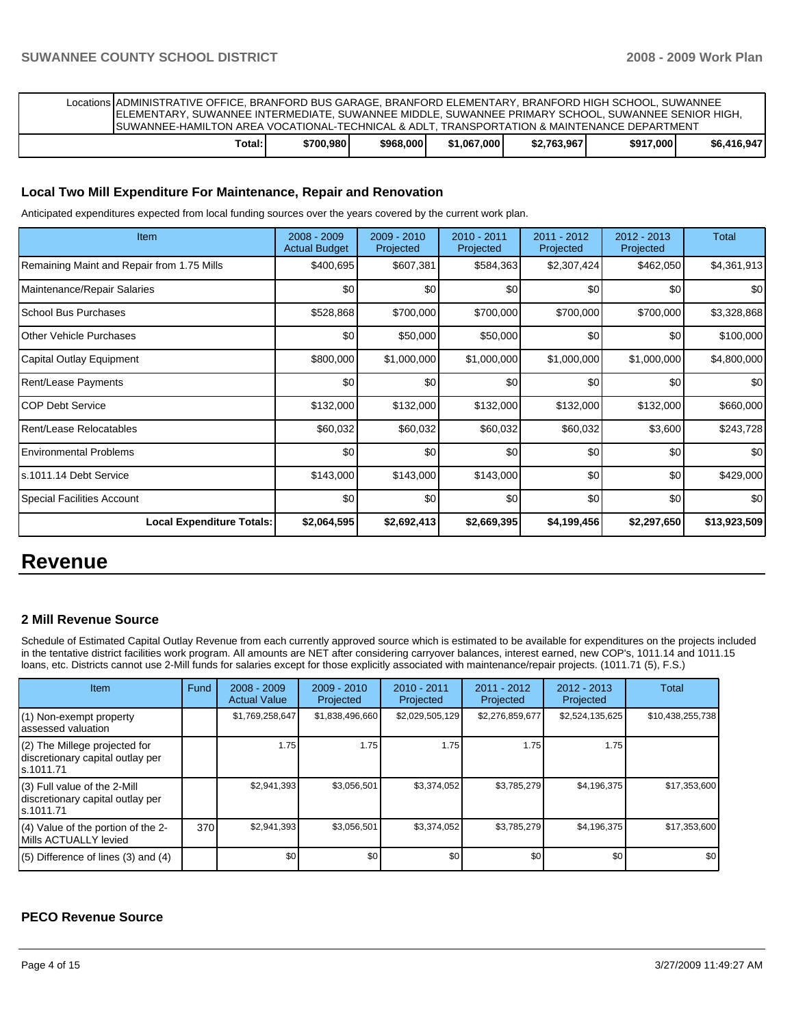| Locations ADMINISTRATIVE OFFICE. BRANFORD BUS GARAGE. BRANFORD ELEMENTARY. BRANFORD HIGH SCHOOL. SUWANNEE<br>IELEMENTARY, SUWANNEE INTERMEDIATE, SUWANNEE MIDDLE, SUWANNEE PRIMARY SCHOOL, SUWANNEE SENIOR HIGH,<br>ISUWANNEE-HAMILTON AREA VOCATIONAL-TECHNICAL & ADLT. TRANSPORTATION & MAINTENANCE DEPARTMENT |           |           |             |             |           |             |
|------------------------------------------------------------------------------------------------------------------------------------------------------------------------------------------------------------------------------------------------------------------------------------------------------------------|-----------|-----------|-------------|-------------|-----------|-------------|
| Total:                                                                                                                                                                                                                                                                                                           | \$700,980 | \$968,000 | \$1.067.000 | \$2.763.967 | \$917,000 | \$6.416.947 |

# **Local Two Mill Expenditure For Maintenance, Repair and Renovation**

Anticipated expenditures expected from local funding sources over the years covered by the current work plan.

| Item                                       | 2008 - 2009<br><b>Actual Budget</b> | $2009 - 2010$<br>Projected | $2010 - 2011$<br>Projected | 2011 - 2012<br>Projected | 2012 - 2013<br>Projected | Total        |
|--------------------------------------------|-------------------------------------|----------------------------|----------------------------|--------------------------|--------------------------|--------------|
| Remaining Maint and Repair from 1.75 Mills | \$400,695                           | \$607,381                  | \$584,363                  | \$2,307,424              | \$462,050                | \$4,361,913  |
| Maintenance/Repair Salaries                | \$0                                 | \$0                        | \$0                        | \$0                      | \$0                      | \$0          |
| <b>School Bus Purchases</b>                | \$528,868                           | \$700,000                  | \$700,000                  | \$700,000                | \$700,000                | \$3,328,868  |
| Other Vehicle Purchases                    | \$0                                 | \$50,000                   | \$50,000                   | \$0                      | \$0                      | \$100,000    |
| Capital Outlay Equipment                   | \$800,000                           | \$1,000,000                | \$1,000,000                | \$1,000,000              | \$1,000,000              | \$4,800,000  |
| Rent/Lease Payments                        | \$0                                 | \$0                        | \$0                        | \$0                      | \$0                      | \$0          |
| ICOP Debt Service                          | \$132,000                           | \$132,000                  | \$132,000                  | \$132,000                | \$132,000                | \$660,000    |
| Rent/Lease Relocatables                    | \$60,032                            | \$60,032                   | \$60,032                   | \$60,032                 | \$3,600                  | \$243,728    |
| l Environmental Problems                   | \$0                                 | \$0                        | \$0                        | \$0                      | \$0                      | \$0          |
| ls.1011.14 Debt Service                    | \$143,000                           | \$143,000                  | \$143,000                  | \$0                      | \$0                      | \$429,000    |
| Special Facilities Account                 | \$0                                 | \$0                        | \$0                        | \$0                      | \$0                      | \$0          |
| <b>Local Expenditure Totals:</b>           | \$2,064,595                         | \$2,692,413                | \$2,669,395                | \$4,199,456              | \$2,297,650              | \$13,923,509 |

# **Revenue**

# **2 Mill Revenue Source**

Schedule of Estimated Capital Outlay Revenue from each currently approved source which is estimated to be available for expenditures on the projects included in the tentative district facilities work program. All amounts are NET after considering carryover balances, interest earned, new COP's, 1011.14 and 1011.15 loans, etc. Districts cannot use 2-Mill funds for salaries except for those explicitly associated with maintenance/repair projects. (1011.71 (5), F.S.)

| Item                                                                              | Fund | $2008 - 2009$<br><b>Actual Value</b> | $2009 - 2010$<br>Projected | $2010 - 2011$<br>Projected | 2011 - 2012<br>Projected | $2012 - 2013$<br>Projected | Total            |
|-----------------------------------------------------------------------------------|------|--------------------------------------|----------------------------|----------------------------|--------------------------|----------------------------|------------------|
| (1) Non-exempt property<br>lassessed valuation                                    |      | \$1,769,258,647                      | \$1,838,496,660            | \$2,029,505,129            | \$2,276,859,677          | \$2,524,135,625            | \$10,438,255,738 |
| $(2)$ The Millege projected for<br>discretionary capital outlay per<br>ls.1011.71 |      | 1.75                                 | 1.75                       | 1.75                       | 1.75                     | 1.75                       |                  |
| $(3)$ Full value of the 2-Mill<br>discretionary capital outlay per<br>ls.1011.71  |      | \$2,941,393                          | \$3,056,501                | \$3,374,052                | \$3,785,279              | \$4,196,375                | \$17,353,600     |
| (4) Value of the portion of the 2-<br><b>IMills ACTUALLY levied</b>               | 370  | \$2,941,393                          | \$3,056,501                | \$3,374,052                | \$3,785,279              | \$4,196,375                | \$17,353,600     |
| $(5)$ Difference of lines (3) and (4)                                             |      | \$0                                  | \$0                        | \$0                        | \$0                      | \$0                        | \$0              |

# **PECO Revenue Source**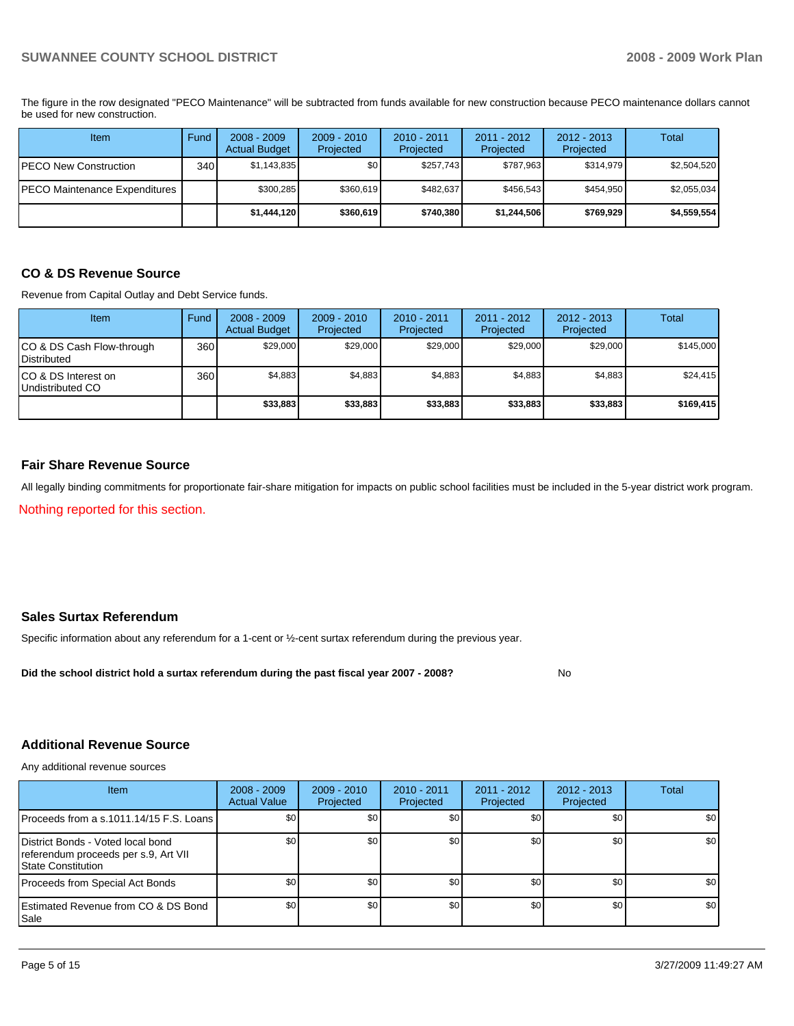The figure in the row designated "PECO Maintenance" will be subtracted from funds available for new construction because PECO maintenance dollars cannot be used for new construction.

| Item                          | Fund             | $2008 - 2009$<br><b>Actual Budget</b> | $2009 - 2010$<br>Projected | $2010 - 2011$<br>Projected | $2011 - 2012$<br>Projected | $2012 - 2013$<br>Projected | Total       |
|-------------------------------|------------------|---------------------------------------|----------------------------|----------------------------|----------------------------|----------------------------|-------------|
| IPECO New Construction        | 340 <sub>l</sub> | \$1,143,835                           | \$0                        | \$257,743                  | \$787.963                  | \$314,979                  | \$2,504,520 |
| PECO Maintenance Expenditures |                  | \$300,285                             | \$360,619                  | \$482.637                  | \$456.543                  | \$454,950                  | \$2,055,034 |
|                               |                  | \$1,444,120                           | \$360,619                  | \$740.380                  | \$1,244,506                | \$769,929                  | \$4,559,554 |

# **CO & DS Revenue Source**

Revenue from Capital Outlay and Debt Service funds.

| <b>Item</b>                                        | Fund | $2008 - 2009$<br><b>Actual Budget</b> | $2009 - 2010$<br>Projected | $2010 - 2011$<br>Projected | $2011 - 2012$<br>Projected | $2012 - 2013$<br>Projected | Total     |
|----------------------------------------------------|------|---------------------------------------|----------------------------|----------------------------|----------------------------|----------------------------|-----------|
| ICO & DS Cash Flow-through<br><b>I</b> Distributed | 360  | \$29,000                              | \$29,000                   | \$29.000                   | \$29,000                   | \$29,000                   | \$145,000 |
| ICO & DS Interest on<br>Undistributed CO           | 360  | \$4,883                               | \$4,883                    | \$4,883                    | \$4,883                    | \$4,883                    | \$24.415  |
|                                                    |      | \$33,883                              | \$33,883                   | \$33,883                   | \$33,883                   | \$33,883                   | \$169,415 |

# **Fair Share Revenue Source**

All legally binding commitments for proportionate fair-share mitigation for impacts on public school facilities must be included in the 5-year district work program.

Nothing reported for this section.

# **Sales Surtax Referendum**

Specific information about any referendum for a 1-cent or ½-cent surtax referendum during the previous year.

**Did the school district hold a surtax referendum during the past fiscal year 2007 - 2008?** No

# **Additional Revenue Source**

Any additional revenue sources

| <b>Item</b>                                                                                            | $2008 - 2009$<br><b>Actual Value</b> | $2009 - 2010$<br>Projected | $2010 - 2011$<br>Projected | 2011 - 2012<br>Projected | $2012 - 2013$<br>Projected | Total |
|--------------------------------------------------------------------------------------------------------|--------------------------------------|----------------------------|----------------------------|--------------------------|----------------------------|-------|
| IProceeds from a s.1011.14/15 F.S. Loans I                                                             | \$0 <sub>1</sub>                     | \$0 <sub>1</sub>           | \$0                        | \$0                      | \$0                        | \$0   |
| District Bonds - Voted local bond<br>referendum proceeds per s.9, Art VII<br><b>State Constitution</b> | \$0 <sub>1</sub>                     | \$0                        | \$0                        | \$0                      | \$0                        | \$0   |
| Proceeds from Special Act Bonds                                                                        | \$0 <sub>1</sub>                     | \$0 <sub>1</sub>           | \$0                        | \$0                      | \$0                        | \$0   |
| <b>IEstimated Revenue from CO &amp; DS Bond</b><br><b>I</b> Sale                                       | \$0 <sub>1</sub>                     | \$0 <sub>1</sub>           | \$0                        | \$0                      | \$0                        | \$0   |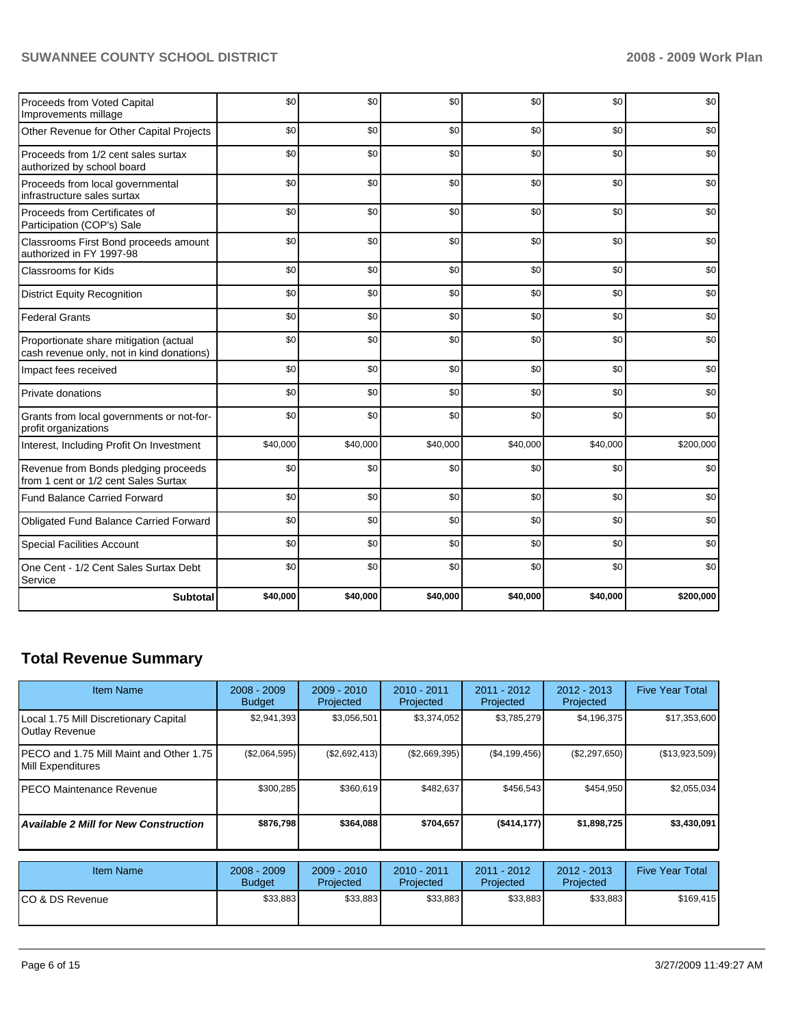| Proceeds from Voted Capital<br>Improvements millage                                 | \$0      | \$0      | \$0      | \$0      | \$0      | \$0       |
|-------------------------------------------------------------------------------------|----------|----------|----------|----------|----------|-----------|
| Other Revenue for Other Capital Projects                                            | \$0      | \$0      | \$0      | \$0      | \$0      | \$0       |
| Proceeds from 1/2 cent sales surtax<br>authorized by school board                   | \$0      | \$0      | \$0      | \$0      | \$0      | \$0       |
| Proceeds from local governmental<br>infrastructure sales surtax                     | \$0      | \$0      | \$0      | \$0      | \$0      | \$0       |
| Proceeds from Certificates of<br>Participation (COP's) Sale                         | \$0      | \$0      | \$0      | \$0      | \$0      | \$0       |
| Classrooms First Bond proceeds amount<br>authorized in FY 1997-98                   | \$0      | \$0      | \$0      | \$0      | \$0      | \$0       |
| <b>Classrooms for Kids</b>                                                          | \$0      | \$0      | \$0      | \$0      | \$0      | \$0       |
| <b>District Equity Recognition</b>                                                  | \$0      | \$0      | \$0      | \$0      | \$0      | \$0       |
| <b>Federal Grants</b>                                                               | \$0      | \$0      | \$0      | \$0      | \$0      | \$0       |
| Proportionate share mitigation (actual<br>cash revenue only, not in kind donations) | \$0      | \$0      | \$0      | \$0      | \$0      | \$0       |
| Impact fees received                                                                | \$0      | \$0      | \$0      | \$0      | \$0      | \$0       |
| Private donations                                                                   | \$0      | \$0      | \$0      | \$0      | \$0      | \$0       |
| Grants from local governments or not-for-<br>profit organizations                   | \$0      | \$0      | \$0      | \$0      | \$0      | \$0       |
| Interest, Including Profit On Investment                                            | \$40,000 | \$40,000 | \$40,000 | \$40,000 | \$40,000 | \$200,000 |
| Revenue from Bonds pledging proceeds<br>from 1 cent or 1/2 cent Sales Surtax        | \$0      | \$0      | \$0      | \$0      | \$0      | \$0       |
| <b>Fund Balance Carried Forward</b>                                                 | \$0      | \$0      | \$0      | \$0      | \$0      | \$0       |
| Obligated Fund Balance Carried Forward                                              | \$0      | \$0      | \$0      | \$0      | \$0      | \$0       |
| <b>Special Facilities Account</b>                                                   | \$0      | \$0      | \$0      | \$0      | \$0      | \$0       |
| One Cent - 1/2 Cent Sales Surtax Debt<br>Service                                    | \$0      | \$0      | \$0      | \$0      | \$0      | \$0       |
| <b>Subtotal</b>                                                                     | \$40,000 | \$40,000 | \$40,000 | \$40,000 | \$40,000 | \$200,000 |

# **Total Revenue Summary**

| Item Name                                                      | $2008 - 2009$<br><b>Budget</b> | 2009 - 2010<br>Projected | $2010 - 2011$<br>Projected | 2011 - 2012<br>Projected | 2012 - 2013<br>Projected | <b>Five Year Total</b> |
|----------------------------------------------------------------|--------------------------------|--------------------------|----------------------------|--------------------------|--------------------------|------------------------|
| Local 1.75 Mill Discretionary Capital<br><b>Outlay Revenue</b> | \$2,941,393                    | \$3,056,501              | \$3,374,052                | \$3,785,279              | \$4,196,375              | \$17,353,600           |
| PECO and 1.75 Mill Maint and Other 1.75<br>Mill Expenditures   | (\$2,064,595)                  | (\$2,692,413)            | (\$2,669,395)              | (\$4,199,456)            | (\$2,297,650)            | (\$13,923,509)         |
| <b>PECO Maintenance Revenue</b>                                | \$300,285                      | \$360,619                | \$482,637                  | \$456,543                | \$454,950                | \$2,055,034            |
| <b>Available 2 Mill for New Construction</b>                   | \$876,798                      | \$364,088                | \$704,657                  | (\$414, 177)             | \$1,898,725              | \$3,430,091            |
|                                                                |                                |                          |                            |                          |                          |                        |
| <b>Item Name</b>                                               | $2008 - 2009$<br><b>Budget</b> | 2009 - 2010<br>Projected | $2010 - 2011$<br>Projected | 2011 - 2012<br>Projected | 2012 - 2013<br>Projected | <b>Five Year Total</b> |
| ICO & DS Revenue                                               | \$33,883                       | \$33,883                 | \$33,883                   | \$33,883                 | \$33,883                 | \$169,415              |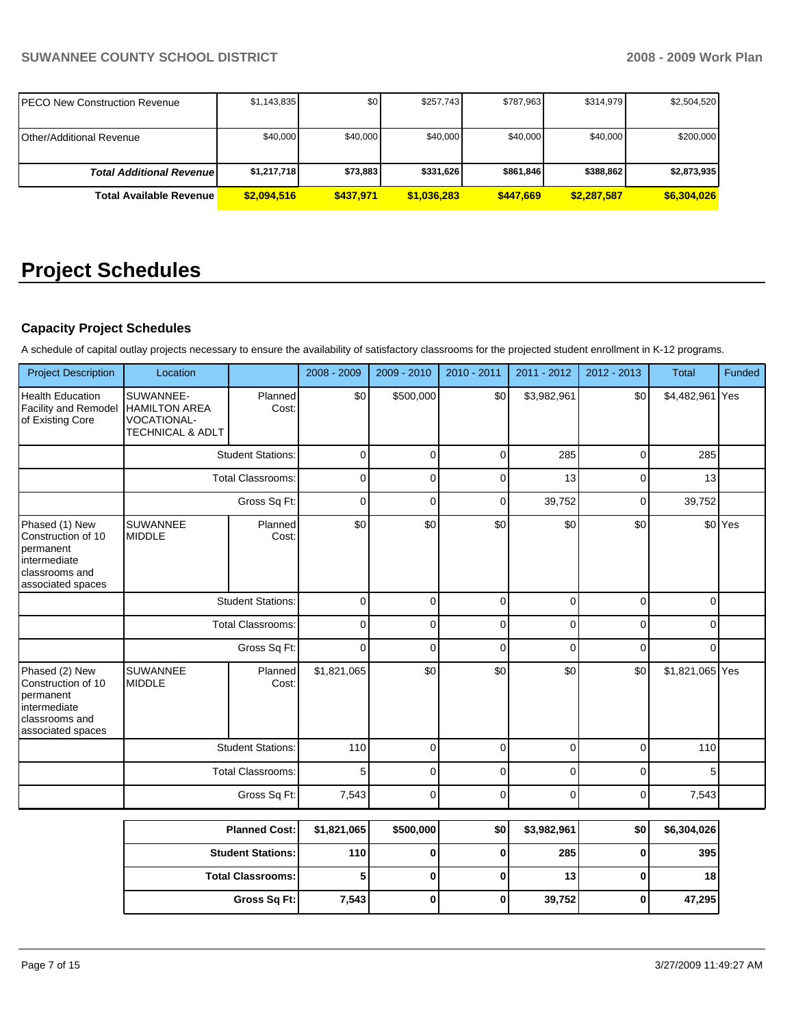| IPECO New Construction Revenue   | \$1,143,835 | \$0       | \$257.743   | \$787.963 | \$314,979   | \$2,504,520 |
|----------------------------------|-------------|-----------|-------------|-----------|-------------|-------------|
| IOther/Additional Revenue        | \$40,000    | \$40,000  | \$40,000    | \$40,000  | \$40,000    | \$200,000   |
|                                  |             |           |             |           |             |             |
| <b>Total Additional Revenuel</b> | \$1,217,718 | \$73,883  | \$331.626   | \$861.846 | \$388,862   | \$2,873,935 |
| <b>Total Available Revenue</b>   | \$2.094.516 | \$437.971 | \$1,036,283 | \$447,669 | \$2.287.587 | \$6,304,026 |

# **Project Schedules**

# **Capacity Project Schedules**

A schedule of capital outlay projects necessary to ensure the availability of satisfactory classrooms for the projected student enrollment in K-12 programs.

| <b>Project Description</b>                                                                               | Location                                                                               |                          | 2008 - 2009 | 2009 - 2010 | 2010 - 2011 | 2011 - 2012 | $2012 - 2013$ | <b>Total</b>               | Funded  |
|----------------------------------------------------------------------------------------------------------|----------------------------------------------------------------------------------------|--------------------------|-------------|-------------|-------------|-------------|---------------|----------------------------|---------|
| <b>Health Education</b><br><b>Facility and Remodel</b><br>of Existing Core                               | SUWANNEE-<br><b>HAMILTON AREA</b><br><b>VOCATIONAL-</b><br><b>TECHNICAL &amp; ADLT</b> | Planned<br>Cost:         | \$0         | \$500,000   | \$0         | \$3,982,961 | \$0           | \$4,482,961 Yes            |         |
|                                                                                                          |                                                                                        | <b>Student Stations:</b> | 0           | 0           | $\mathbf 0$ | 285         | $\mathbf 0$   | 285                        |         |
|                                                                                                          | <b>Total Classrooms:</b>                                                               |                          | 0           | 0           | $\mathbf 0$ | 13          | $\mathbf 0$   | 13                         |         |
|                                                                                                          |                                                                                        | Gross Sq Ft:             | $\mathbf 0$ | $\mathbf 0$ | $\mathbf 0$ | 39,752      | $\mathbf 0$   | 39,752                     |         |
| Phased (1) New<br>Construction of 10<br>permanent<br>intermediate<br>classrooms and<br>associated spaces | <b>SUWANNEE</b><br><b>MIDDLE</b>                                                       | Planned<br>Cost:         | \$0         | \$0         | \$0         | \$0         | \$0           | $\mathbf 0$<br>$\mathbf 0$ | \$0 Yes |
|                                                                                                          | <b>Student Stations:</b>                                                               |                          | $\mathbf 0$ | 0           | $\mathbf 0$ | $\Omega$    |               | $\Omega$                   |         |
|                                                                                                          |                                                                                        | <b>Total Classrooms:</b> | 0           | 0           | 0           | $\mathbf 0$ |               | $\mathbf 0$                |         |
|                                                                                                          |                                                                                        | Gross Sq Ft:             |             | 0           | $\mathbf 0$ | $\mathbf 0$ | $\mathbf 0$   | $\mathbf 0$                |         |
| Phased (2) New<br>Construction of 10<br>permanent<br>intermediate<br>classrooms and<br>associated spaces | <b>SUWANNEE</b><br><b>MIDDLE</b>                                                       | Planned<br>Cost:         | \$1,821,065 | \$0         | \$0         | \$0         | \$0           | \$1,821,065 Yes            |         |
|                                                                                                          |                                                                                        | <b>Student Stations:</b> | 110         | 0           | $\mathbf 0$ | $\Omega$    | $\mathbf 0$   | 110                        |         |
|                                                                                                          |                                                                                        | <b>Total Classrooms:</b> | 5           | $\Omega$    | $\mathbf 0$ | $\Omega$    | $\Omega$      | 5                          |         |
|                                                                                                          |                                                                                        | Gross Sq Ft:             | 7,543       | 0           | $\mathbf 0$ | $\mathbf 0$ | $\mathbf 0$   | 7,543                      |         |
|                                                                                                          |                                                                                        | <b>Planned Cost:</b>     | \$1,821,065 | \$500,000   | \$0         | \$3,982,961 | \$0           | \$6,304,026                |         |
|                                                                                                          |                                                                                        |                          |             |             |             |             |               |                            |         |

| <b>Planned Cost:</b>     | \$1,821,0651 | \$500,000 | <b>\$01</b> | \$3,982,9611 | \$0 | \$6,304,0261    |
|--------------------------|--------------|-----------|-------------|--------------|-----|-----------------|
| <b>Student Stations:</b> | 110 l        |           |             | 285          |     | 395             |
| <b>Total Classrooms:</b> |              |           |             | 13           |     | 18 <sup>1</sup> |
| Gross Sq Ft:             | 7,543        |           |             | 39,752       |     | 47,295          |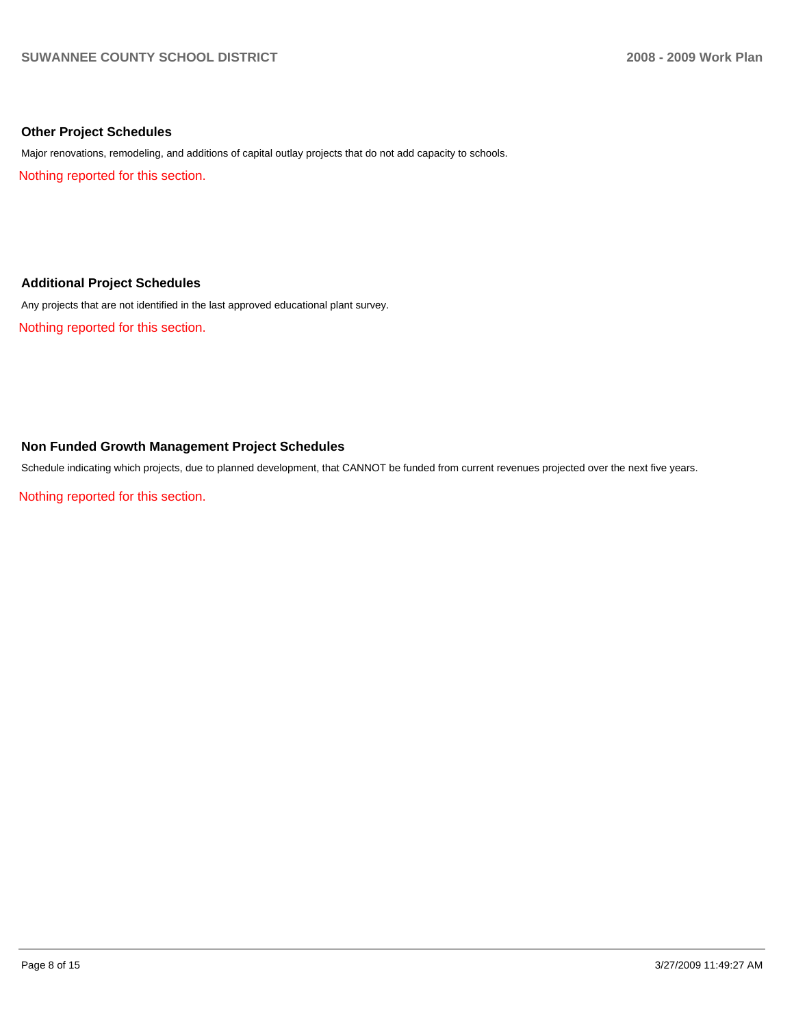# **Other Project Schedules**

Major renovations, remodeling, and additions of capital outlay projects that do not add capacity to schools.

Nothing reported for this section.

# **Additional Project Schedules**

Any projects that are not identified in the last approved educational plant survey.

Nothing reported for this section.

# **Non Funded Growth Management Project Schedules**

Schedule indicating which projects, due to planned development, that CANNOT be funded from current revenues projected over the next five years.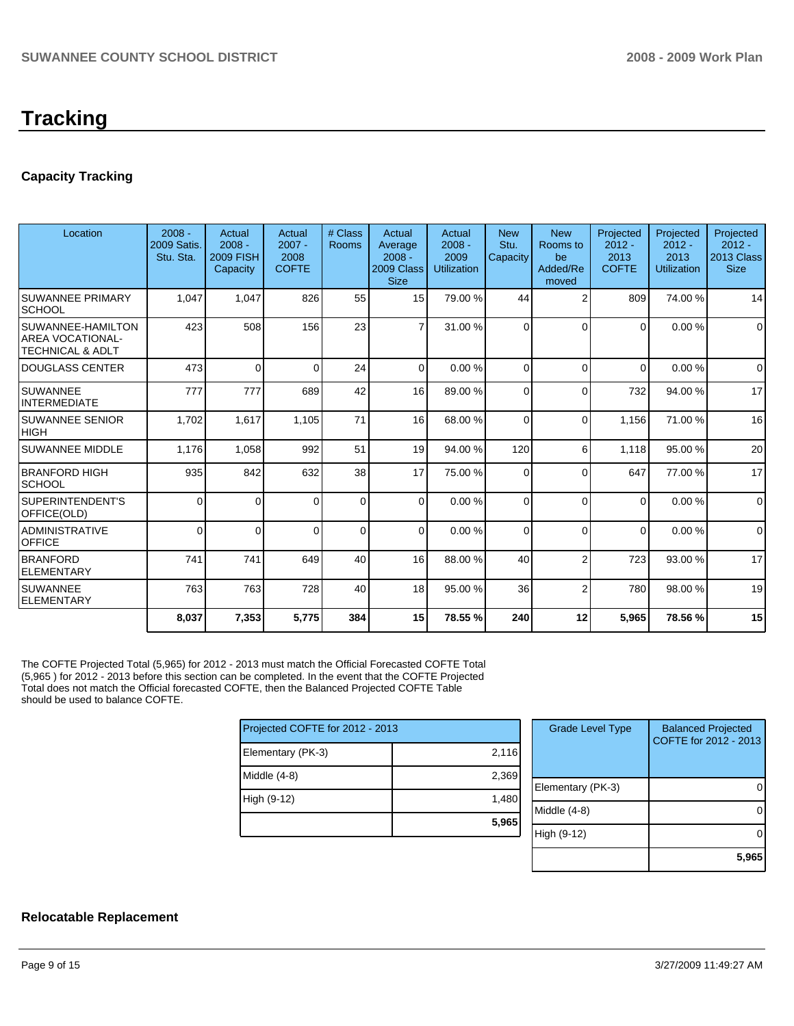# **Tracking**

# **Capacity Tracking**

| Location                                                                    | $2008 -$<br><b>2009 Satis.</b><br>Stu. Sta. | Actual<br>$2008 -$<br><b>2009 FISH</b><br>Capacity | Actual<br>$2007 -$<br>2008<br><b>COFTE</b> | # Class<br>Rooms | Actual<br>Average<br>$2008 -$<br>2009 Class<br><b>Size</b> | Actual<br>$2008 -$<br>2009<br><b>Utilization</b> | <b>New</b><br>Stu.<br>Capacity | <b>New</b><br>Rooms to<br>be<br>Added/Re<br>moved | Projected<br>$2012 -$<br>2013<br><b>COFTE</b> | Projected<br>$2012 -$<br>2013<br><b>Utilization</b> | Projected<br>$2012 -$<br>2013 Class<br><b>Size</b> |
|-----------------------------------------------------------------------------|---------------------------------------------|----------------------------------------------------|--------------------------------------------|------------------|------------------------------------------------------------|--------------------------------------------------|--------------------------------|---------------------------------------------------|-----------------------------------------------|-----------------------------------------------------|----------------------------------------------------|
| <b>SUWANNEE PRIMARY</b><br><b>SCHOOL</b>                                    | 1.047                                       | 1,047                                              | 826                                        | 55               | 15                                                         | 79.00 %                                          | 44                             | 2                                                 | 809                                           | 74.00 %                                             | 14                                                 |
| SUWANNEE-HAMILTON<br><b>AREA VOCATIONAL-</b><br><b>TECHNICAL &amp; ADLT</b> | 423                                         | 508                                                | 156                                        | 23               | $\overline{7}$                                             | 31.00 %                                          | $\Omega$                       | $\Omega$                                          | $\Omega$                                      | 0.00%                                               | $\mathbf 0$                                        |
| <b>DOUGLASS CENTER</b>                                                      | 473                                         | $\Omega$                                           | $\Omega$                                   | 24               | $\Omega$                                                   | 0.00%                                            | $\Omega$                       | $\Omega$                                          | $\Omega$                                      | 0.00%                                               | $\Omega$                                           |
| <b>SUWANNEE</b><br><b>INTERMEDIATE</b>                                      | 777                                         | 777                                                | 689                                        | 42               | 16                                                         | 89.00 %                                          | $\Omega$                       | $\Omega$                                          | 732                                           | 94.00 %                                             | 17                                                 |
| SUWANNEE SENIOR<br><b>HIGH</b>                                              | 1,702                                       | 1,617                                              | 1,105                                      | 71               | 16                                                         | 68.00 %                                          | $\Omega$                       | $\Omega$                                          | 1,156                                         | 71.00 %                                             | 16                                                 |
| <b>SUWANNEE MIDDLE</b>                                                      | 1,176                                       | 1,058                                              | 992                                        | 51               | 19 <sup>1</sup>                                            | 94.00 %                                          | 120                            | 6                                                 | 1,118                                         | 95.00 %                                             | 20                                                 |
| <b>BRANFORD HIGH</b><br><b>SCHOOL</b>                                       | 935                                         | 842                                                | 632                                        | 38               | 17                                                         | 75.00 %                                          | $\overline{0}$                 | $\Omega$                                          | 647                                           | 77.00 %                                             | 17                                                 |
| SUPERINTENDENT'S<br>OFFICE(OLD)                                             | $\Omega$                                    | $\Omega$                                           | $\Omega$                                   | $\Omega$         | $\Omega$                                                   | 0.00%                                            | $\Omega$                       | $\Omega$                                          | $\Omega$                                      | 0.00%                                               | $\mathbf 0$                                        |
| <b>ADMINISTRATIVE</b><br><b>OFFICE</b>                                      | $\Omega$                                    | $\Omega$                                           | $\Omega$                                   | $\Omega$         | $\Omega$                                                   | 0.00%                                            | 0                              | $\Omega$                                          | $\Omega$                                      | 0.00%                                               | $\Omega$                                           |
| <b>BRANFORD</b><br><b>ELEMENTARY</b>                                        | 741                                         | 741                                                | 649                                        | 40               | 16                                                         | 88.00 %                                          | 40                             | $\overline{2}$                                    | 723                                           | 93.00 %                                             | 17                                                 |
| <b>SUWANNEE</b><br><b>ELEMENTARY</b>                                        | 763                                         | 763                                                | 728                                        | 40               | 18                                                         | 95.00 %                                          | 36                             | $\overline{2}$                                    | 780                                           | 98.00 %                                             | 19                                                 |
|                                                                             | 8,037                                       | 7,353                                              | 5,775                                      | 384              | 15                                                         | 78.55 %                                          | 240                            | 12                                                | 5,965                                         | 78.56 %                                             | 15                                                 |

The COFTE Projected Total (5,965) for 2012 - 2013 must match the Official Forecasted COFTE Total (5,965 ) for 2012 - 2013 before this section can be completed. In the event that the COFTE Projected Total does not match the Official forecasted COFTE, then the Balanced Projected COFTE Table should be used to balance COFTE.

| Projected COFTE for 2012 - 2013 |       |  |  |  |  |
|---------------------------------|-------|--|--|--|--|
| Elementary (PK-3)               | 2,116 |  |  |  |  |
| Middle (4-8)                    | 2,369 |  |  |  |  |
| High (9-12)                     | 1,480 |  |  |  |  |
|                                 | 5,965 |  |  |  |  |

| <b>Grade Level Type</b> | <b>Balanced Projected</b><br>COFTE for 2012 - 2013 |
|-------------------------|----------------------------------------------------|
| Elementary (PK-3)       |                                                    |
| Middle (4-8)            |                                                    |
| High (9-12)             |                                                    |
|                         | 5.96                                               |

# **Relocatable Replacement**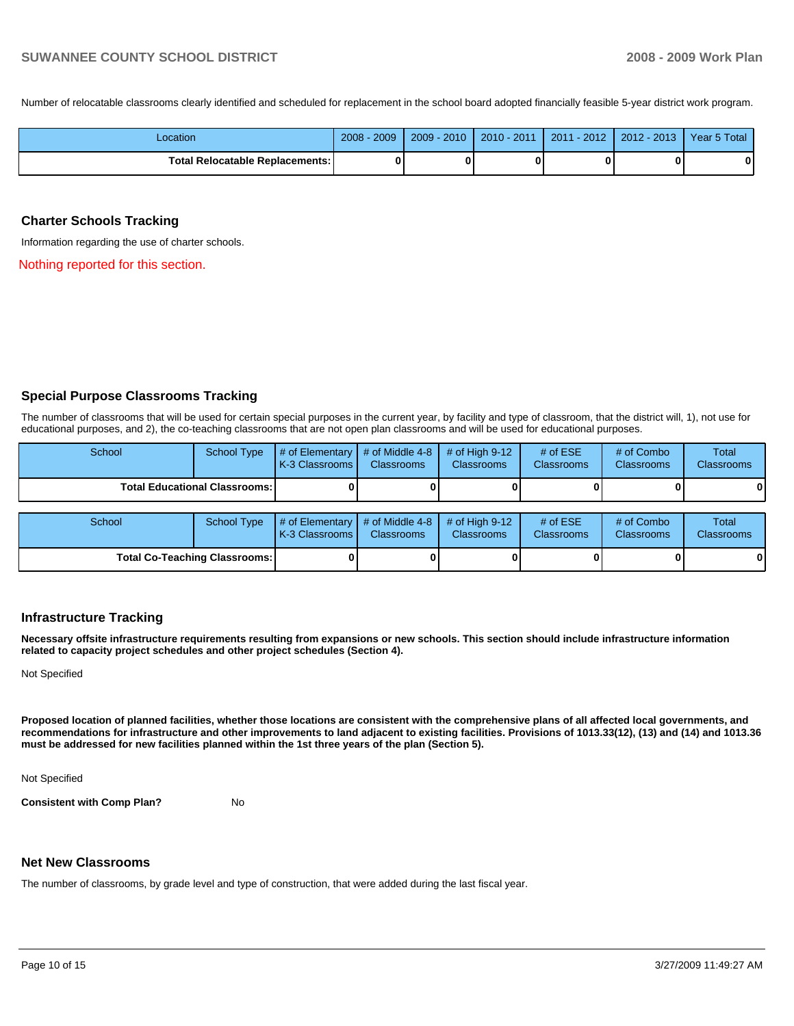Number of relocatable classrooms clearly identified and scheduled for replacement in the school board adopted financially feasible 5-year district work program.

| Location                                 | 2009<br>$2008 -$ | $2009 - 2010$ | 2010 - 2011 | $2011 - 2012$ | $2012 - 2013$ | Year 5 Total |
|------------------------------------------|------------------|---------------|-------------|---------------|---------------|--------------|
| <b>Total Relocatable Replacements: I</b> |                  |               |             | 0             |               | 0            |

# **Charter Schools Tracking**

Information regarding the use of charter schools.

Nothing reported for this section.

# **Special Purpose Classrooms Tracking**

The number of classrooms that will be used for certain special purposes in the current year, by facility and type of classroom, that the district will, 1), not use for educational purposes, and 2), the co-teaching classrooms that are not open plan classrooms and will be used for educational purposes.

| School                                 | School Type | $\parallel$ # of Elementary $\parallel$ # of Middle 4-8 $\parallel$ # of High 9-12<br><b>K-3 Classrooms I</b> | <b>Classrooms</b> | <b>Classrooms</b> | # of $ESE$<br><b>Classrooms</b> | # of Combo<br><b>Classrooms</b> | Total<br><b>Classrooms</b> |
|----------------------------------------|-------------|---------------------------------------------------------------------------------------------------------------|-------------------|-------------------|---------------------------------|---------------------------------|----------------------------|
| <b>Total Educational Classrooms: I</b> |             |                                                                                                               | 01                |                   |                                 | 01                              | $\bf{0}$                   |

| School                               |  | School Type $\left  \frac{1}{2}$ of Elementary $\left  \frac{1}{2}$ of Middle 4-8 $\right $ # of High 9-12<br>I K-3 Classrooms I | <b>Classrooms</b> | <b>Classrooms</b> | $#$ of ESE<br><b>Classrooms</b> | # of Combo<br><b>Classrooms</b> | Total<br><b>Classrooms</b> |
|--------------------------------------|--|----------------------------------------------------------------------------------------------------------------------------------|-------------------|-------------------|---------------------------------|---------------------------------|----------------------------|
| <b>Total Co-Teaching Classrooms:</b> |  |                                                                                                                                  |                   |                   |                                 | 0                               | $\bf{0}$                   |

# **Infrastructure Tracking**

**Necessary offsite infrastructure requirements resulting from expansions or new schools. This section should include infrastructure information related to capacity project schedules and other project schedules (Section 4).** 

Not Specified

**Proposed location of planned facilities, whether those locations are consistent with the comprehensive plans of all affected local governments, and recommendations for infrastructure and other improvements to land adjacent to existing facilities. Provisions of 1013.33(12), (13) and (14) and 1013.36 must be addressed for new facilities planned within the 1st three years of the plan (Section 5).** 

Not Specified

**Consistent with Comp Plan?** No

### **Net New Classrooms**

The number of classrooms, by grade level and type of construction, that were added during the last fiscal year.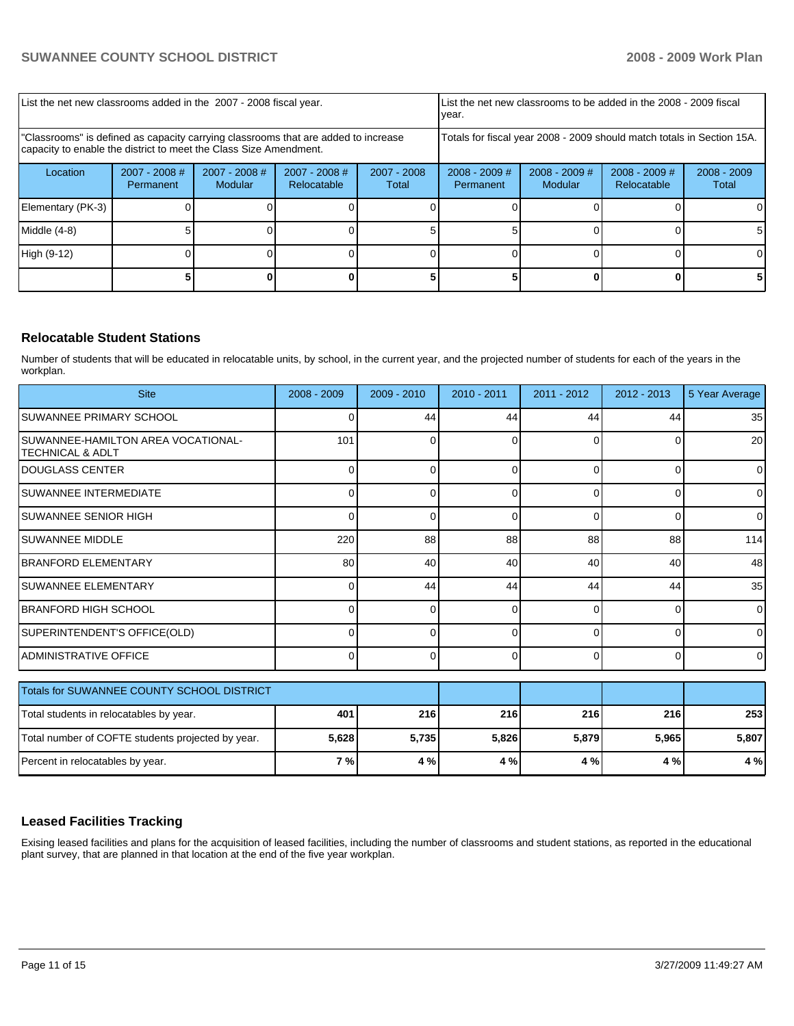| List the net new classrooms added in the 2007 - 2008 fiscal year.                                                                                       |                              |                                   |                                |                                                                        | List the net new classrooms to be added in the 2008 - 2009 fiscal<br>year. |                            |                                |                        |
|---------------------------------------------------------------------------------------------------------------------------------------------------------|------------------------------|-----------------------------------|--------------------------------|------------------------------------------------------------------------|----------------------------------------------------------------------------|----------------------------|--------------------------------|------------------------|
| "Classrooms" is defined as capacity carrying classrooms that are added to increase<br>capacity to enable the district to meet the Class Size Amendment. |                              |                                   |                                | Totals for fiscal year 2008 - 2009 should match totals in Section 15A. |                                                                            |                            |                                |                        |
| Location                                                                                                                                                | $2007 - 2008$ #<br>Permanent | $2007 - 2008$ #<br><b>Modular</b> | $2007 - 2008$ #<br>Relocatable | $2007 - 2008$<br>Total                                                 | $2008 - 2009$ #<br>Permanent                                               | $2008 - 2009$ #<br>Modular | $2008 - 2009$ #<br>Relocatable | $2008 - 2009$<br>Total |
| Elementary (PK-3)                                                                                                                                       |                              |                                   |                                |                                                                        |                                                                            |                            |                                |                        |
| Middle (4-8)                                                                                                                                            |                              |                                   |                                |                                                                        |                                                                            |                            |                                |                        |
| High (9-12)                                                                                                                                             |                              |                                   |                                |                                                                        |                                                                            |                            |                                | ΩI                     |
|                                                                                                                                                         |                              |                                   |                                |                                                                        |                                                                            |                            |                                |                        |

# **Relocatable Student Stations**

Number of students that will be educated in relocatable units, by school, in the current year, and the projected number of students for each of the years in the workplan.

| <b>Site</b>                                                       | $2008 - 2009$ | $2009 - 2010$ | $2010 - 2011$ | $2011 - 2012$ | $2012 - 2013$ | 5 Year Average  |
|-------------------------------------------------------------------|---------------|---------------|---------------|---------------|---------------|-----------------|
| SUWANNEE PRIMARY SCHOOL                                           | 0             | 44            | 44            | 44            | 44            | 35              |
| SUWANNEE-HAMILTON AREA VOCATIONAL-<br><b>TECHNICAL &amp; ADLT</b> | 101           | $\Omega$      | $\Omega$      | $\Omega$      | 0             | 20 <sup>1</sup> |
| <b>DOUGLASS CENTER</b>                                            | $\Omega$      | 0             | $\Omega$      | $\Omega$      | 0             | $\Omega$        |
| SUWANNEE INTERMEDIATE                                             | ∩             | U             | $\Omega$      | $\Omega$      | $\Omega$      | $\overline{0}$  |
| <b>SUWANNEE SENIOR HIGH</b>                                       | $\Omega$      | $\Omega$      | $\Omega$      | $\Omega$      | $\Omega$      | $\Omega$        |
| <b>SUWANNEE MIDDLE</b>                                            | 220           | 88            | 88            | 88            | 88            | 114             |
| <b>BRANFORD ELEMENTARY</b>                                        | 80            | 40            | 40            | 40            | 40            | 48              |
| SUWANNEE ELEMENTARY                                               | $\Omega$      | 44            | 44            | 44            | 44            | 35              |
| <b>BRANFORD HIGH SCHOOL</b>                                       | $\Omega$      | $\Omega$      | $\Omega$      | $\Omega$      | 0             | $\overline{0}$  |
| SUPERINTENDENT'S OFFICE(OLD)                                      | 0             | 0             | $\Omega$      | $\Omega$      | 0             | $\overline{0}$  |
| <b>ADMINISTRATIVE OFFICE</b>                                      | $\Omega$      | 0             | $\Omega$      | $\Omega$      | 0             | $\Omega$        |
| Totals for SUWANNEE COUNTY SCHOOL DISTRICT                        |               |               |               |               |               |                 |

| Total students in relocatables by year.           | 401   | <b>216</b> | 216   | <b>216</b> | 216 l | 253   |
|---------------------------------------------------|-------|------------|-------|------------|-------|-------|
| Total number of COFTE students projected by year. | 5,628 | 5.735      | 5,826 | 5,879      | 5.965 | 5,807 |
| Percent in relocatables by year.                  | 7 %   | 4 %        | 4 %   | 4 % l      | 4 % I | 4 %   |

# **Leased Facilities Tracking**

Exising leased facilities and plans for the acquisition of leased facilities, including the number of classrooms and student stations, as reported in the educational plant survey, that are planned in that location at the end of the five year workplan.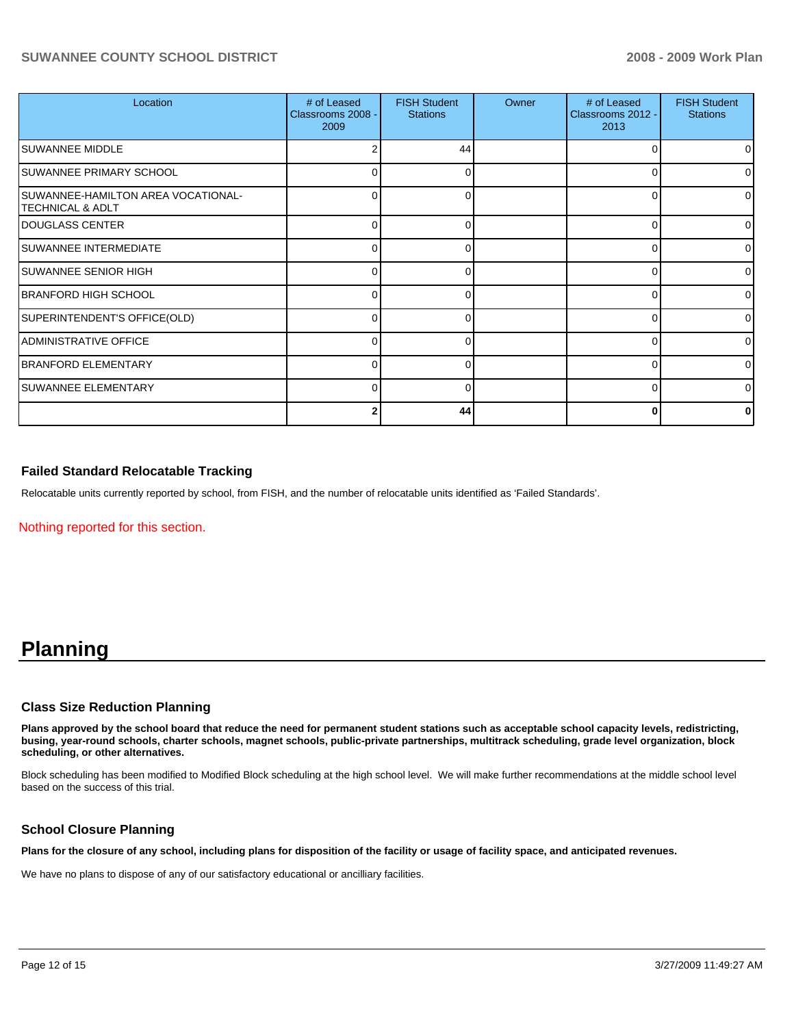| Location                                               | # of Leased<br>Classrooms 2008 -<br>2009 | <b>FISH Student</b><br><b>Stations</b> | Owner | # of Leased<br>Classrooms 2012 -<br>2013 | <b>FISH Student</b><br><b>Stations</b> |
|--------------------------------------------------------|------------------------------------------|----------------------------------------|-------|------------------------------------------|----------------------------------------|
| ISUWANNEE MIDDLE                                       |                                          | 44                                     |       | 0                                        | O                                      |
| <b>SUWANNEE PRIMARY SCHOOL</b>                         |                                          | 0                                      |       | 0                                        |                                        |
| SUWANNEE-HAMILTON AREA VOCATIONAL-<br>TECHNICAL & ADLT | 0                                        | $\Omega$                               |       | 0                                        |                                        |
| <b>IDOUGLASS CENTER</b>                                | 0                                        | 0                                      |       | $\Omega$                                 |                                        |
| <b>SUWANNEE INTERMEDIATE</b>                           | 0                                        | $\Omega$                               |       | 0                                        | $\Omega$                               |
| <b>SUWANNEE SENIOR HIGH</b>                            | 0                                        | 0                                      |       | 0                                        | 0                                      |
| BRANFORD HIGH SCHOOL                                   | 0                                        | 0                                      |       | 0                                        |                                        |
| SUPERINTENDENT'S OFFICE(OLD)                           | 0                                        | 0                                      |       | $\Omega$                                 | <sup>n</sup>                           |
| ADMINISTRATIVE OFFICE                                  | 0                                        | 0                                      |       | 0                                        | <sup>0</sup>                           |
| BRANFORD ELEMENTARY                                    |                                          | U                                      |       | 0                                        | ∩                                      |
| <b>SUWANNEE ELEMENTARY</b>                             | 0                                        | 0                                      |       | $\Omega$                                 |                                        |
|                                                        |                                          | 44                                     |       | 0                                        |                                        |

# **Failed Standard Relocatable Tracking**

Relocatable units currently reported by school, from FISH, and the number of relocatable units identified as 'Failed Standards'.

Nothing reported for this section.

# **Planning**

# **Class Size Reduction Planning**

**Plans approved by the school board that reduce the need for permanent student stations such as acceptable school capacity levels, redistricting, busing, year-round schools, charter schools, magnet schools, public-private partnerships, multitrack scheduling, grade level organization, block scheduling, or other alternatives.** 

Block scheduling has been modified to Modified Block scheduling at the high school level. We will make further recommendations at the middle school level based on the success of this trial.

# **School Closure Planning**

**Plans for the closure of any school, including plans for disposition of the facility or usage of facility space, and anticipated revenues.** 

We have no plans to dispose of any of our satisfactory educational or ancilliary facilities.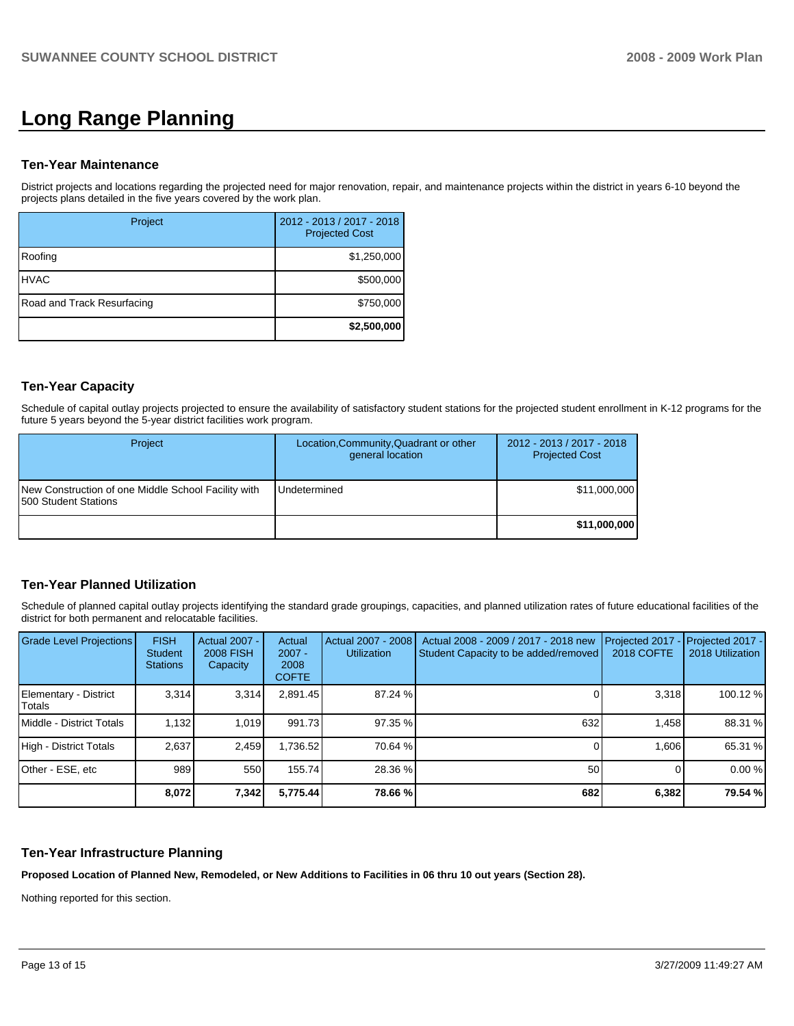# **Long Range Planning**

### **Ten-Year Maintenance**

District projects and locations regarding the projected need for major renovation, repair, and maintenance projects within the district in years 6-10 beyond the projects plans detailed in the five years covered by the work plan.

| Project                    | 2012 - 2013 / 2017 - 2018<br><b>Projected Cost</b> |
|----------------------------|----------------------------------------------------|
| Roofing                    | \$1,250,000                                        |
| <b>HVAC</b>                | \$500,000                                          |
| Road and Track Resurfacing | \$750,000                                          |
|                            | \$2,500,000                                        |

# **Ten-Year Capacity**

Schedule of capital outlay projects projected to ensure the availability of satisfactory student stations for the projected student enrollment in K-12 programs for the future 5 years beyond the 5-year district facilities work program.

| <b>Project</b>                                                              | Location, Community, Quadrant or other<br>general location | 2012 - 2013 / 2017 - 2018<br><b>Projected Cost</b> |
|-----------------------------------------------------------------------------|------------------------------------------------------------|----------------------------------------------------|
| New Construction of one Middle School Facility with<br>500 Student Stations | <b>Undetermined</b>                                        | \$11,000,000                                       |
|                                                                             |                                                            | \$11,000,000                                       |

# **Ten-Year Planned Utilization**

Schedule of planned capital outlay projects identifying the standard grade groupings, capacities, and planned utilization rates of future educational facilities of the district for both permanent and relocatable facilities.

| <b>Grade Level Projections</b>  | <b>FISH</b><br><b>Student</b><br><b>Stations</b> | <b>Actual 2007 -</b><br><b>2008 FISH</b><br>Capacity | Actual<br>$2007 -$<br>2008<br><b>COFTE</b> | Actual 2007 - 2008<br><b>Utilization</b> | Actual 2008 - 2009 / 2017 - 2018 new<br>Student Capacity to be added/removed | Projected 2017<br><b>2018 COFTE</b> | Projected 2017 -<br>2018 Utilization |
|---------------------------------|--------------------------------------------------|------------------------------------------------------|--------------------------------------------|------------------------------------------|------------------------------------------------------------------------------|-------------------------------------|--------------------------------------|
| Elementary - District<br>Totals | 3.314                                            | 3.314                                                | 2.891.45                                   | 87.24 %                                  |                                                                              | 3.318                               | 100.12 %                             |
| Middle - District Totals        | 1.132                                            | 1.019                                                | 991.73                                     | 97.35 %                                  | 632                                                                          | 1.458                               | 88.31 %                              |
| High - District Totals          | 2.637                                            | 2.459                                                | 1,736.52                                   | 70.64 %                                  |                                                                              | 1.606                               | 65.31 %                              |
| Other - ESE, etc                | 989                                              | 550                                                  | 155.74                                     | 28.36 %                                  | 50                                                                           |                                     | 0.00%                                |
|                                 | 8,072                                            | 7,342                                                | 5,775.44                                   | 78.66 %                                  | 682                                                                          | 6,382                               | 79.54 %                              |

# **Ten-Year Infrastructure Planning**

**Proposed Location of Planned New, Remodeled, or New Additions to Facilities in 06 thru 10 out years (Section 28).**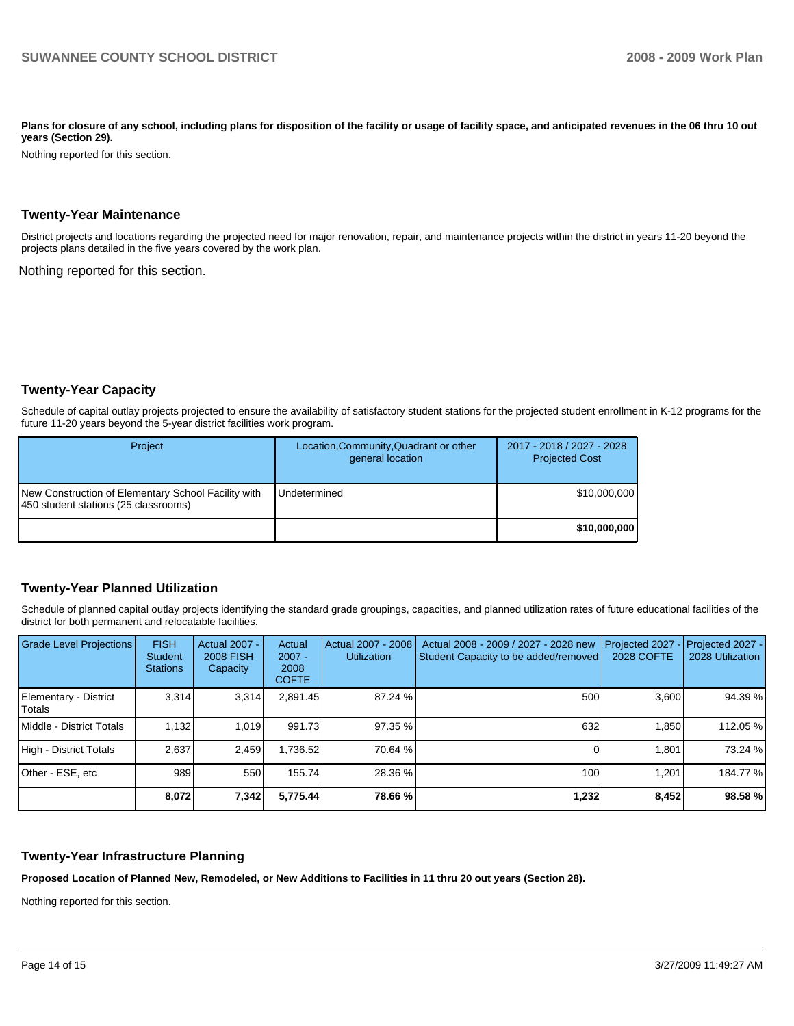Plans for closure of any school, including plans for disposition of the facility or usage of facility space, and anticipated revenues in the 06 thru 10 out **years (Section 29).** 

Nothing reported for this section.

### **Twenty-Year Maintenance**

District projects and locations regarding the projected need for major renovation, repair, and maintenance projects within the district in years 11-20 beyond the projects plans detailed in the five years covered by the work plan.

Nothing reported for this section.

# **Twenty-Year Capacity**

Schedule of capital outlay projects projected to ensure the availability of satisfactory student stations for the projected student enrollment in K-12 programs for the future 11-20 years beyond the 5-year district facilities work program.

| Project                                                                                     | Location, Community, Quadrant or other<br>general location | 2017 - 2018 / 2027 - 2028<br><b>Projected Cost</b> |
|---------------------------------------------------------------------------------------------|------------------------------------------------------------|----------------------------------------------------|
| New Construction of Elementary School Facility with<br>450 student stations (25 classrooms) | <b>Undetermined</b>                                        | \$10,000,000                                       |
|                                                                                             |                                                            | \$10,000,000                                       |

# **Twenty-Year Planned Utilization**

Schedule of planned capital outlay projects identifying the standard grade groupings, capacities, and planned utilization rates of future educational facilities of the district for both permanent and relocatable facilities.

| <b>Grade Level Projections</b>    | <b>FISH</b><br>Student<br><b>Stations</b> | <b>Actual 2007 -</b><br><b>2008 FISH</b><br>Capacity | Actual<br>$2007 -$<br>2008<br><b>COFTE</b> | Actual 2007 - 2008<br><b>Utilization</b> | Actual 2008 - 2009 / 2027 - 2028 new<br>Student Capacity to be added/removed | Projected 2027<br><b>2028 COFTE</b> | Projected 2027 -<br>2028 Utilization |
|-----------------------------------|-------------------------------------------|------------------------------------------------------|--------------------------------------------|------------------------------------------|------------------------------------------------------------------------------|-------------------------------------|--------------------------------------|
| Elementary - District<br>l Totals | 3.314                                     | 3,314                                                | 2,891.45                                   | 87.24 %                                  | 500                                                                          | 3,600                               | 94.39 %                              |
| Middle - District Totals          | 1,132                                     | 1.019                                                | 991.73                                     | 97.35 %                                  | 632                                                                          | 1,850                               | 112.05 %                             |
| High - District Totals            | 2.637                                     | 2,459                                                | 1,736.52                                   | 70.64 %                                  |                                                                              | 1,801                               | 73.24 %                              |
| Other - ESE, etc                  | 989                                       | 550                                                  | 155.74                                     | 28.36 %                                  | 100                                                                          | 1.201                               | 184.77 %                             |
|                                   | 8,072                                     | 7,342                                                | 5,775.44                                   | 78.66 %                                  | 1,232                                                                        | 8,452                               | 98.58 %                              |

# **Twenty-Year Infrastructure Planning**

**Proposed Location of Planned New, Remodeled, or New Additions to Facilities in 11 thru 20 out years (Section 28).**